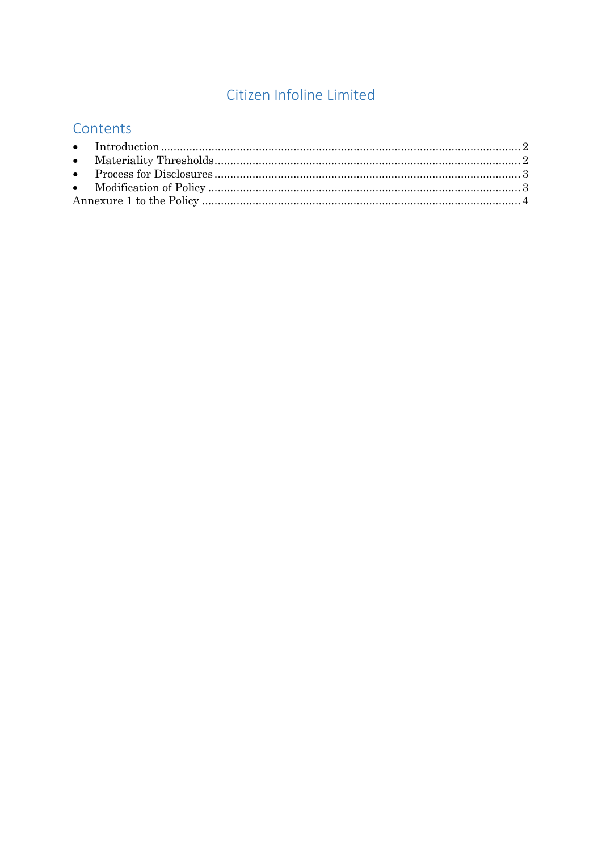# Citizen Infoline Limited

# Contents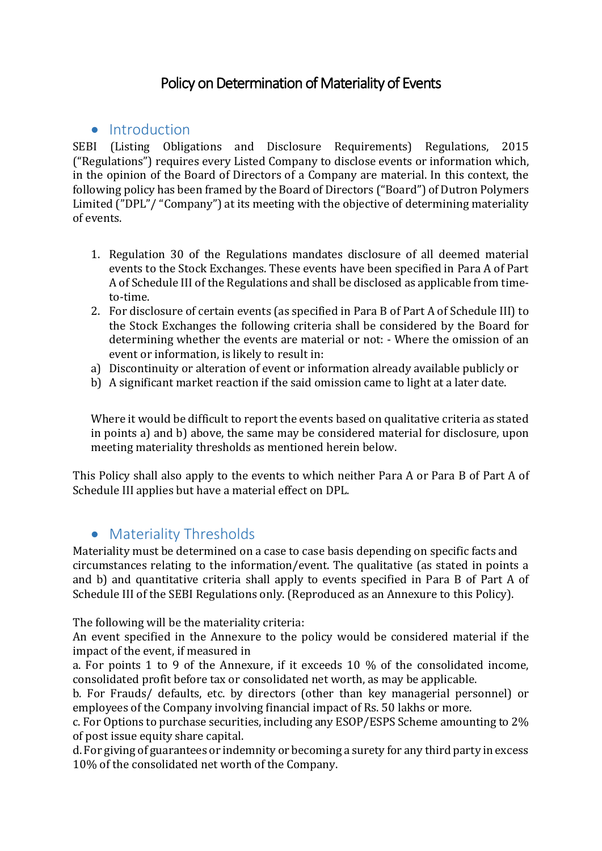# Policy on Determination of Materiality of Events

#### <span id="page-1-0"></span>• Introduction

SEBI (Listing Obligations and Disclosure Requirements) Regulations, 2015 ("Regulations") requires every Listed Company to disclose events or information which, in the opinion of the Board of Directors of a Company are material. In this context, the following policy has been framed by the Board of Directors ("Board") of Dutron Polymers Limited ("DPL"/ "Company") at its meeting with the objective of determining materiality of events.

- 1. Regulation 30 of the Regulations mandates disclosure of all deemed material events to the Stock Exchanges. These events have been specified in Para A of Part A of Schedule III of the Regulations and shall be disclosed as applicable from timeto-time.
- 2. For disclosure of certain events (as specified in Para B of Part A of Schedule III) to the Stock Exchanges the following criteria shall be considered by the Board for determining whether the events are material or not: - Where the omission of an event or information, is likely to result in:
- a) Discontinuity or alteration of event or information already available publicly or
- b) A significant market reaction if the said omission came to light at a later date.

Where it would be difficult to report the events based on qualitative criteria as stated in points a) and b) above, the same may be considered material for disclosure, upon meeting materiality thresholds as mentioned herein below.

This Policy shall also apply to the events to which neither Para A or Para B of Part A of Schedule III applies but have a material effect on DPL.

#### <span id="page-1-1"></span>• Materiality Thresholds

Materiality must be determined on a case to case basis depending on specific facts and circumstances relating to the information/event. The qualitative (as stated in points a and b) and quantitative criteria shall apply to events specified in Para B of Part A of Schedule III of the SEBI Regulations only. (Reproduced as an Annexure to this Policy).

The following will be the materiality criteria:

An event specified in the Annexure to the policy would be considered material if the impact of the event, if measured in

a. For points 1 to 9 of the Annexure, if it exceeds 10 % of the consolidated income, consolidated profit before tax or consolidated net worth, as may be applicable.

b. For Frauds/ defaults, etc. by directors (other than key managerial personnel) or employees of the Company involving financial impact of Rs. 50 lakhs or more.

c. For Options to purchase securities, including any ESOP/ESPS Scheme amounting to 2% of post issue equity share capital.

d. For giving of guarantees or indemnity or becoming a surety for any third party in excess 10% of the consolidated net worth of the Company.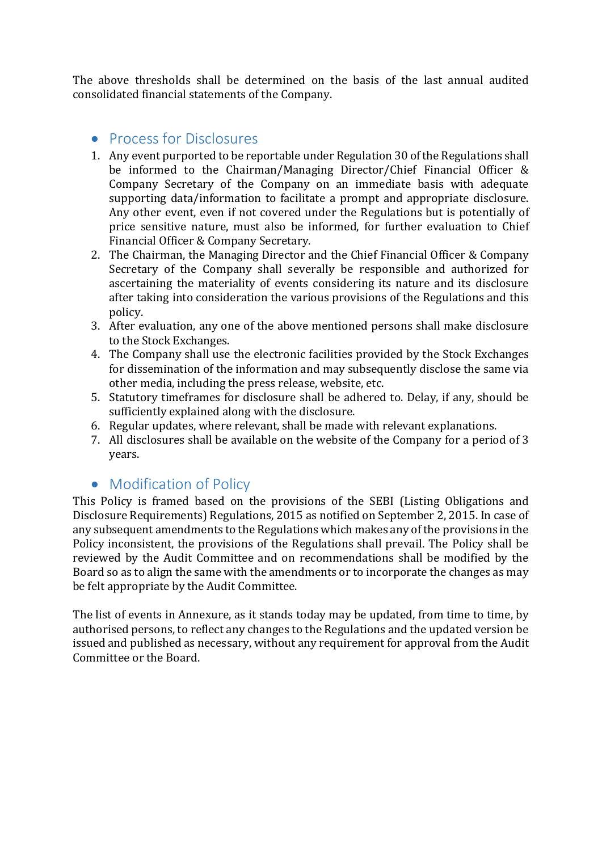The above thresholds shall be determined on the basis of the last annual audited consolidated financial statements of the Company.

#### <span id="page-2-0"></span>• Process for Disclosures

- 1. Any event purported to be reportable under Regulation 30 of the Regulations shall be informed to the Chairman/Managing Director/Chief Financial Officer & Company Secretary of the Company on an immediate basis with adequate supporting data/information to facilitate a prompt and appropriate disclosure. Any other event, even if not covered under the Regulations but is potentially of price sensitive nature, must also be informed, for further evaluation to Chief Financial Officer & Company Secretary.
- 2. The Chairman, the Managing Director and the Chief Financial Officer & Company Secretary of the Company shall severally be responsible and authorized for ascertaining the materiality of events considering its nature and its disclosure after taking into consideration the various provisions of the Regulations and this policy.
- 3. After evaluation, any one of the above mentioned persons shall make disclosure to the Stock Exchanges.
- 4. The Company shall use the electronic facilities provided by the Stock Exchanges for dissemination of the information and may subsequently disclose the same via other media, including the press release, website, etc.
- 5. Statutory timeframes for disclosure shall be adhered to. Delay, if any, should be sufficiently explained along with the disclosure.
- 6. Regular updates, where relevant, shall be made with relevant explanations.
- 7. All disclosures shall be available on the website of the Company for a period of 3 years.

### <span id="page-2-1"></span>• Modification of Policy

This Policy is framed based on the provisions of the SEBI (Listing Obligations and Disclosure Requirements) Regulations, 2015 as notified on September 2, 2015. In case of any subsequent amendments to the Regulations which makes any of the provisions in the Policy inconsistent, the provisions of the Regulations shall prevail. The Policy shall be reviewed by the Audit Committee and on recommendations shall be modified by the Board so as to align the same with the amendments or to incorporate the changes as may be felt appropriate by the Audit Committee.

The list of events in Annexure, as it stands today may be updated, from time to time, by authorised persons, to reflect any changes to the Regulations and the updated version be issued and published as necessary, without any requirement for approval from the Audit Committee or the Board.